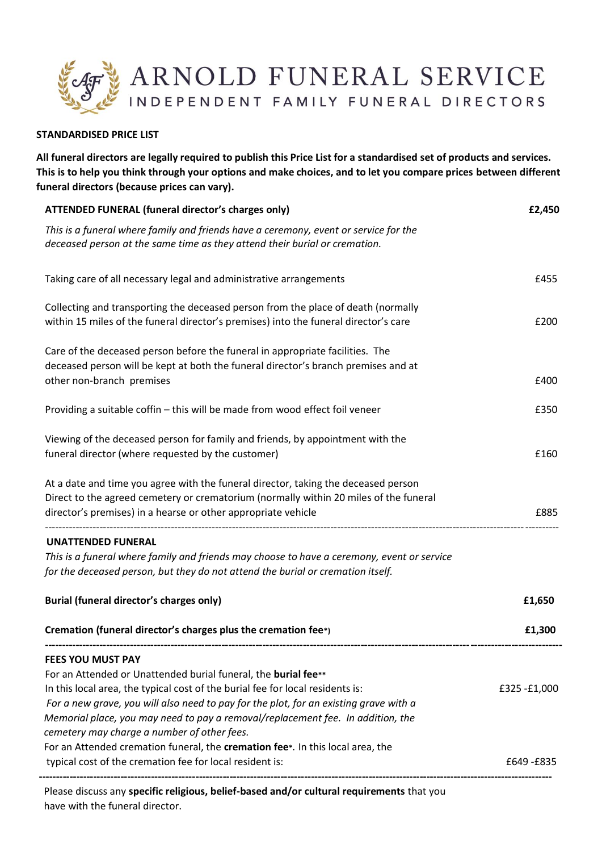

## **STANDARDISED PRICE LIST**

**All funeral directors are legally required to publish this Price List for a standardised set of products and services. This is to help you think through your options and make choices, and to let you compare prices between different funeral directors (because prices can vary).**

| <b>ATTENDED FUNERAL (funeral director's charges only)</b>                                                                                                                                                                                                                                                                                                                                               | £2,450      |
|---------------------------------------------------------------------------------------------------------------------------------------------------------------------------------------------------------------------------------------------------------------------------------------------------------------------------------------------------------------------------------------------------------|-------------|
| This is a funeral where family and friends have a ceremony, event or service for the<br>deceased person at the same time as they attend their burial or cremation.                                                                                                                                                                                                                                      |             |
| Taking care of all necessary legal and administrative arrangements                                                                                                                                                                                                                                                                                                                                      | £455        |
| Collecting and transporting the deceased person from the place of death (normally<br>within 15 miles of the funeral director's premises) into the funeral director's care                                                                                                                                                                                                                               | £200        |
| Care of the deceased person before the funeral in appropriate facilities. The<br>deceased person will be kept at both the funeral director's branch premises and at<br>other non-branch premises                                                                                                                                                                                                        | £400        |
| Providing a suitable coffin - this will be made from wood effect foil veneer                                                                                                                                                                                                                                                                                                                            | £350        |
| Viewing of the deceased person for family and friends, by appointment with the<br>funeral director (where requested by the customer)                                                                                                                                                                                                                                                                    | £160        |
| At a date and time you agree with the funeral director, taking the deceased person<br>Direct to the agreed cemetery or crematorium (normally within 20 miles of the funeral<br>director's premises) in a hearse or other appropriate vehicle                                                                                                                                                            | £885        |
| <b>UNATTENDED FUNERAL</b><br>This is a funeral where family and friends may choose to have a ceremony, event or service<br>for the deceased person, but they do not attend the burial or cremation itself.                                                                                                                                                                                              |             |
| <b>Burial (funeral director's charges only)</b>                                                                                                                                                                                                                                                                                                                                                         | £1,650      |
| Cremation (funeral director's charges plus the cremation fee*)                                                                                                                                                                                                                                                                                                                                          | £1,300      |
| <b>FEES YOU MUST PAY</b><br>For an Attended or Unattended burial funeral, the burial fee**<br>In this local area, the typical cost of the burial fee for local residents is:<br>For a new grave, you will also need to pay for the plot, for an existing grave with a<br>Memorial place, you may need to pay a removal/replacement fee. In addition, the<br>cemetery may charge a number of other fees. | £325-£1,000 |
| For an Attended cremation funeral, the cremation fee*. In this local area, the<br>typical cost of the cremation fee for local resident is:                                                                                                                                                                                                                                                              | £649 -£835  |

 Please discuss any **specific religious, belief-based and/or cultural requirements** that you have with the funeral director.